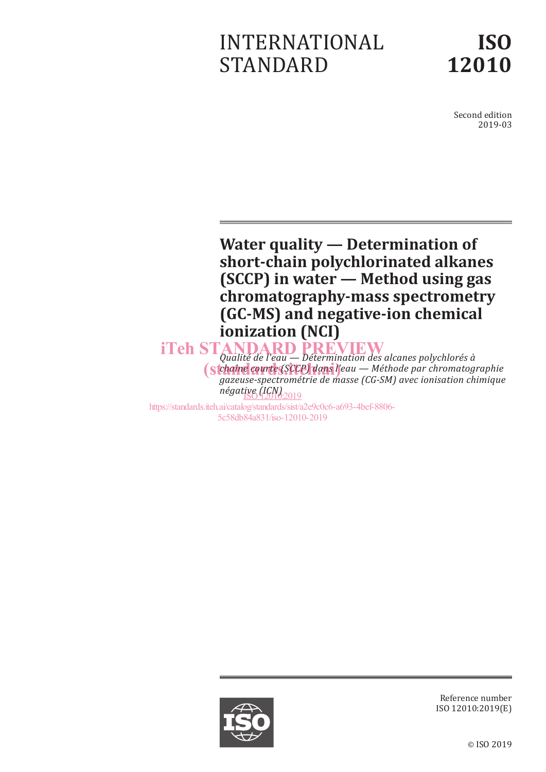# INTERNATIONAL STANDARD

Second edition 2019-03

**Water quality — Determination of short-chain polychlorinated alkanes (SCCP) in water — Method using gas chromatography-mass spectrometry (GC-MS) and negative-ion chemical ionization (NCI)**

**iTeh STANDARD PREVIEW**<br>Qualité de l'eau — Détermination des alcanes polychlorés à *chaîne courte (SCCP) dans l'eau — Méthode par chromatographie*<br>
expanse appartemétrie de masse (CC<sub>S</sub>M) que invistion ebimique *gazeuse-spectrométrie de masse (CG-SM) avec ionisation chimique négative (ICN)* ISO 12010:2019

https://standards.iteh.ai/catalog/standards/sist/a2e9c0c6-a693-4bef-8806- 5c58db84a831/iso-12010-2019



Reference number ISO 12010:2019(E)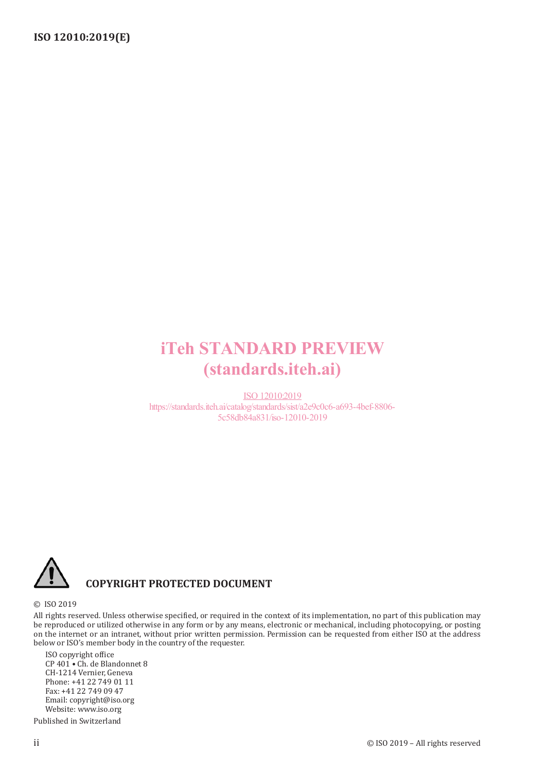# iTeh STANDARD PREVIEW (standards.iteh.ai)

ISO 12010:2019 https://standards.iteh.ai/catalog/standards/sist/a2e9c0c6-a693-4bef-8806- 5c58db84a831/iso-12010-2019



# **COPYRIGHT PROTECTED DOCUMENT**

#### © ISO 2019

All rights reserved. Unless otherwise specified, or required in the context of its implementation, no part of this publication may be reproduced or utilized otherwise in any form or by any means, electronic or mechanical, including photocopying, or posting on the internet or an intranet, without prior written permission. Permission can be requested from either ISO at the address below or ISO's member body in the country of the requester.

ISO copyright office CP 401 • Ch. de Blandonnet 8 CH-1214 Vernier, Geneva Phone: +41 22 749 01 11 Fax: +41 22 749 09 47 Email: copyright@iso.org Website: www.iso.org

Published in Switzerland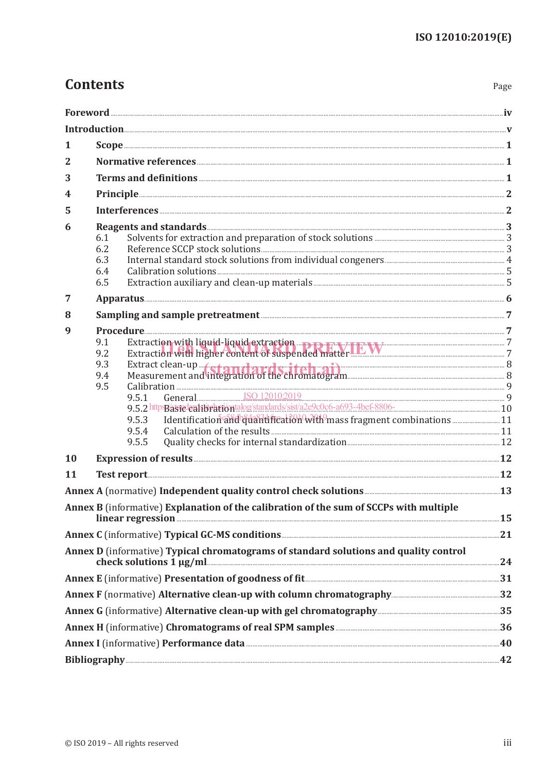# **Contents**

| 1         |                                                                                                                                                                                                                                                                                                                                                                                                                          |  |
|-----------|--------------------------------------------------------------------------------------------------------------------------------------------------------------------------------------------------------------------------------------------------------------------------------------------------------------------------------------------------------------------------------------------------------------------------|--|
| 2         |                                                                                                                                                                                                                                                                                                                                                                                                                          |  |
| 3         |                                                                                                                                                                                                                                                                                                                                                                                                                          |  |
| 4         | $Principle$ 2                                                                                                                                                                                                                                                                                                                                                                                                            |  |
| 5         |                                                                                                                                                                                                                                                                                                                                                                                                                          |  |
| 6         | 6.1<br>6.2<br>6.3<br>6.4<br>6.5                                                                                                                                                                                                                                                                                                                                                                                          |  |
| 7         |                                                                                                                                                                                                                                                                                                                                                                                                                          |  |
| 8         |                                                                                                                                                                                                                                                                                                                                                                                                                          |  |
| 9         | Extraction with liquid-liquid extraction <b>and the COVID-COVID-COVID-COVID-COVID-COVID-COVID-COVID-COVID-COVID-COV</b><br>Extraction with higher content of suspended matter <b>LE W</b><br>9.1<br>9.2<br>Extract clean-up<br>Measurement and integration of the chromatogram<br>9.3<br>9.4<br>9.5<br>9.5.1<br>9.5.2 https://asircleafiltrationtalog/standards/sist/a2e9c0c6-a693-4bef-8806-<br>9.5.3<br>9.5.4<br>9.5.5 |  |
| <b>10</b> |                                                                                                                                                                                                                                                                                                                                                                                                                          |  |
| 11        |                                                                                                                                                                                                                                                                                                                                                                                                                          |  |
|           |                                                                                                                                                                                                                                                                                                                                                                                                                          |  |
|           | Annex B (informative) Explanation of the calibration of the sum of SCCPs with multiple                                                                                                                                                                                                                                                                                                                                   |  |
|           |                                                                                                                                                                                                                                                                                                                                                                                                                          |  |
|           | Annex D (informative) Typical chromatograms of standard solutions and quality control<br>check solutions 1 µg/ml 24                                                                                                                                                                                                                                                                                                      |  |
|           |                                                                                                                                                                                                                                                                                                                                                                                                                          |  |
|           |                                                                                                                                                                                                                                                                                                                                                                                                                          |  |
|           |                                                                                                                                                                                                                                                                                                                                                                                                                          |  |
|           | Annex H (informative) Chromatograms of real SPM samples <b>Entitainmulation</b> and 36                                                                                                                                                                                                                                                                                                                                   |  |
|           | Annex I (informative) Performance data <b>Manual Annex I</b> (informative) Annex I (informative) Performance data <b>Manual Annex I</b> (informative) Annex I (informative) Performance data <b>Manual Annex I (informative</b> ) Annex I (inf                                                                                                                                                                           |  |
|           |                                                                                                                                                                                                                                                                                                                                                                                                                          |  |
|           |                                                                                                                                                                                                                                                                                                                                                                                                                          |  |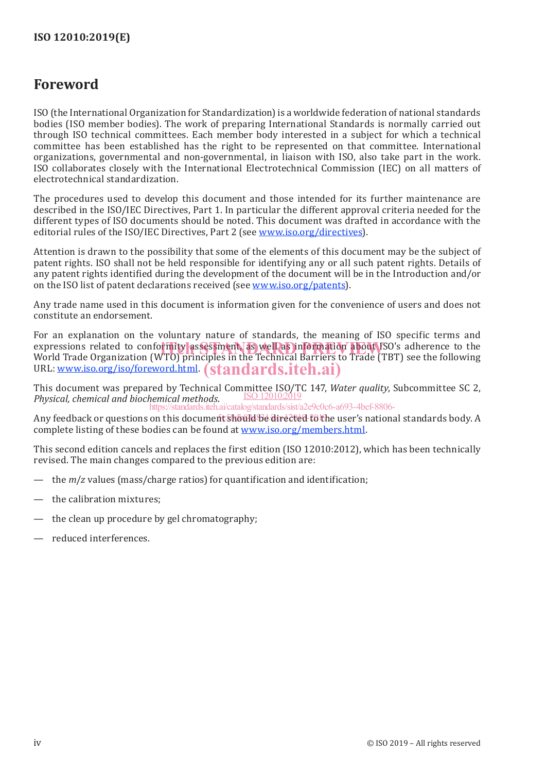# **Foreword**

ISO (the International Organization for Standardization) is a worldwide federation of national standards bodies (ISO member bodies). The work of preparing International Standards is normally carried out through ISO technical committees. Each member body interested in a subject for which a technical committee has been established has the right to be represented on that committee. International organizations, governmental and non-governmental, in liaison with ISO, also take part in the work. ISO collaborates closely with the International Electrotechnical Commission (IEC) on all matters of electrotechnical standardization.

The procedures used to develop this document and those intended for its further maintenance are described in the ISO/IEC Directives, Part 1. In particular the different approval criteria needed for the different types of ISO documents should be noted. This document was drafted in accordance with the editorial rules of the ISO/IEC Directives, Part 2 (see www.iso.org/directives).

Attention is drawn to the possibility that some of the elements of this document may be the subject of patent rights. ISO shall not be held responsible for identifying any or all such patent rights. Details of any patent rights identified during the development of the document will be in the Introduction and/or on the ISO list of patent declarations received (see www.iso.org/patents).

Any trade name used in this document is information given for the convenience of users and does not constitute an endorsement.

For an explanation on the voluntary nature of standards, the meaning of ISO specific terms and expressions related to conformity assessment, as well as information about ISO's adherence to the<br>World Trade Organization (WTO) principles in the Technical Barriers to Trade (TBT) see the following World Trade Organization (WTO) principles in the Technical Barriers to Trade (TBT) see the following URL: <u>www.iso.org/iso/foreword.html</u>. (standards.iteh.ai)

This document was prepared by Technical Committee ISO/TC 147, *Water quality*, Subcommittee SC 2, *Physical, chemical and biochemical methods*.  $ISO<sub>1</sub>$ https://standards.iteh.ai/catalog/standards/sist/a2e9c0c6-a693-4bef-8806-

Any feedback or questions on this document should be directed to the user's national standards body. A complete listing of these bodies can be found at www.iso.org/members.html.

This second edition cancels and replaces the first edition (ISO 12010:2012), which has been technically revised. The main changes compared to the previous edition are:

- the *m/z* values (mass/charge ratios) for quantification and identification;
- the calibration mixtures:
- the clean up procedure by gel chromatography;
- reduced interferences.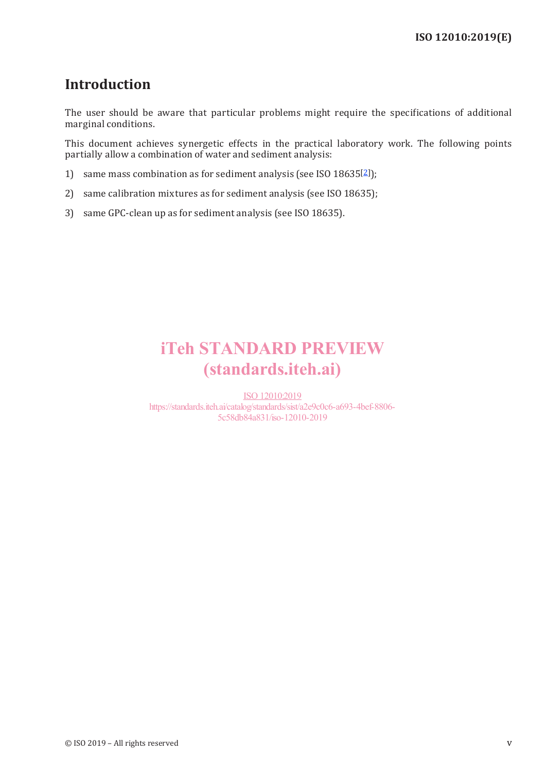# **Introduction**

The user should be aware that particular problems might require the specifications of additional marginal conditions.

This document achieves synergetic effects in the practical laboratory work. The following points partially allow a combination of water and sediment analysis:

- 1) same mass combination as for sediment analysis (see ISO 18635[2]);
- 2) same calibration mixtures as for sediment analysis (see ISO 18635);
- 3) same GPC-clean up as for sediment analysis (see ISO 18635).

# iTeh STANDARD PREVIEW (standards.iteh.ai)

ISO 12010:2019 https://standards.iteh.ai/catalog/standards/sist/a2e9c0c6-a693-4bef-8806- 5c58db84a831/iso-12010-2019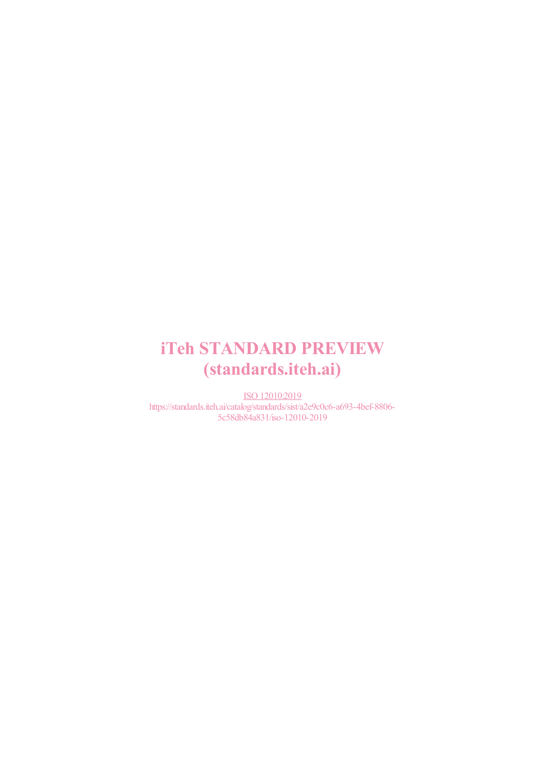# iTeh STANDARD PREVIEW (standards.iteh.ai)

ISO 12010:2019 https://standards.iteh.ai/catalog/standards/sist/a2e9c0c6-a693-4bef-8806- 5c58db84a831/iso-12010-2019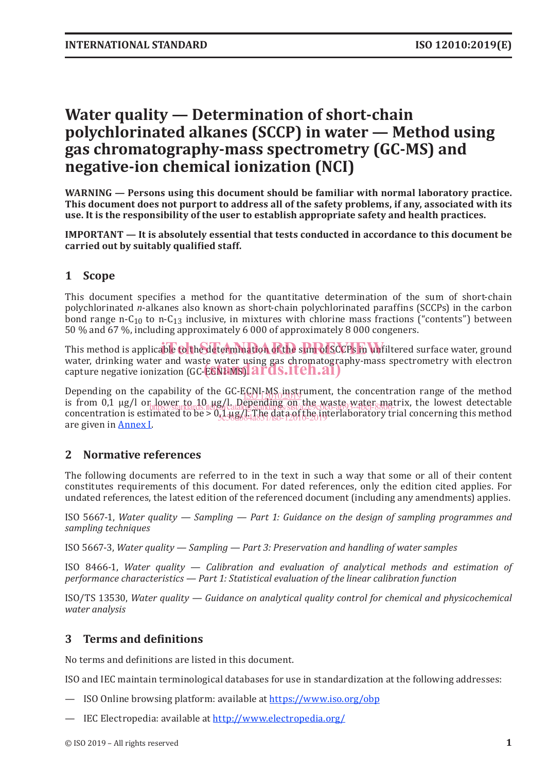# **Water quality — Determination of short-chain polychlorinated alkanes (SCCP) in water — Method using gas chromatography-mass spectrometry (GC-MS) and negative-ion chemical ionization (NCI)**

**WARNING — Persons using this document should be familiar with normal laboratory practice. This document does not purport to address all of the safety problems, if any, associated with its use. It is the responsibility of the user to establish appropriate safety and health practices.**

**IMPORTANT — It is absolutely essential that tests conducted in accordance to this document be carried out by suitably qualified staff.**

# **1 Scope**

This document specifies a method for the quantitative determination of the sum of short-chain polychlorinated *n*-alkanes also known as short-chain polychlorinated paraffins (SCCPs) in the carbon bond range n-C<sub>10</sub> to n-C<sub>13</sub> inclusive, in mixtures with chlorine mass fractions ("contents") between 50 % and 67 %, including approximately 6 000 of approximately 8 000 congeners.

This method is applicable to the determination of the sum of SCCPs in unfiltered surface water, ground water, drinking water and waste water using gas chromatography-mass spectrometry with electron water, drinking water and waste water using gas chromatogra<br>capture negative ionization (GC-ECNI-MS). **ards.iteh.ai**)

Depending on the capability of the GC-ECNI-MS instrument, the concentration range of the method Discovered in the method is from 0,1 µg/l or lower to 10 µg/l. Depending on the waste water matrix, the lowest detectable is a contracted to the matrix of the standards. Ten after a contracted to the contracted to the matrix of the standards. Ten concentration is estimated to be  $>0.1$   $\mu$ g/l. The data of the interlaboratory trial concerning this method are given in Annex I.

# **2 Normative references**

The following documents are referred to in the text in such a way that some or all of their content constitutes requirements of this document. For dated references, only the edition cited applies. For undated references, the latest edition of the referenced document (including any amendments) applies.

ISO 5667-1, *Water quality — Sampling — Part 1: Guidance on the design of sampling programmes and sampling techniques*

ISO 5667-3, *Water quality — Sampling — Part 3: Preservation and handling of water samples*

ISO 8466-1, *Water quality — Calibration and evaluation of analytical methods and estimation of performance characteristics — Part 1: Statistical evaluation of the linear calibration function*

ISO/TS 13530, *Water quality — Guidance on analytical quality control for chemical and physicochemical water analysis*

## **3 Terms and definitions**

No terms and definitions are listed in this document.

ISO and IEC maintain terminological databases for use in standardization at the following addresses:

- ISO Online browsing platform: available at https://www.iso.org/obp
- IEC Electropedia: available at http://www.electropedia.org/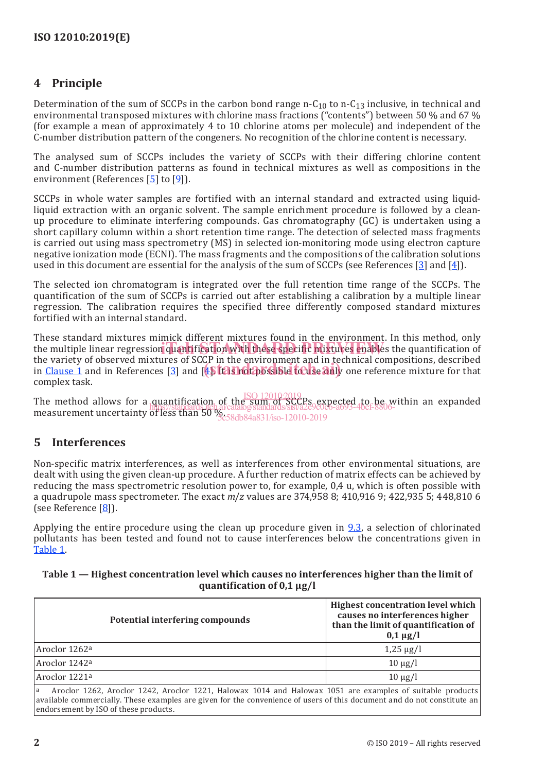# **4 Principle**

Determination of the sum of SCCPs in the carbon bond range n-C<sub>10</sub> to n-C<sub>13</sub> inclusive, in technical and environmental transposed mixtures with chlorine mass fractions ("contents") between 50 % and 67 % (for example a mean of approximately 4 to 10 chlorine atoms per molecule) and independent of the C-number distribution pattern of the congeners. No recognition of the chlorine content is necessary.

The analysed sum of SCCPs includes the variety of SCCPs with their differing chlorine content and C-number distribution patterns as found in technical mixtures as well as compositions in the environment (References [5] to [9]).

SCCPs in whole water samples are fortified with an internal standard and extracted using liquidliquid extraction with an organic solvent. The sample enrichment procedure is followed by a cleanup procedure to eliminate interfering compounds. Gas chromatography (GC) is undertaken using a short capillary column within a short retention time range. The detection of selected mass fragments is carried out using mass spectrometry (MS) in selected ion-monitoring mode using electron capture negative ionization mode (ECNI). The mass fragments and the compositions of the calibration solutions used in this document are essential for the analysis of the sum of SCCPs (see References  $[3]$  and  $[4]$ ).

The selected ion chromatogram is integrated over the full retention time range of the SCCPs. The quantification of the sum of SCCPs is carried out after establishing a calibration by a multiple linear regression. The calibration requires the specified three differently composed standard mixtures fortified with an internal standard.

These standard mixtures mimick different mixtures found in the environment. In this method, only the multiple linear regression quantification with these specific mixtures enables the quantification of the preview of channel mixtures of  $SCCD$  in the environment and in technical compositions described the variety of observed mixtures of SCCP in the environment and in technical compositions, described the variety of observed infixtures of SCCP in the environment and in technical compositions, described<br>in Clause 1 and in References [3] and [4]. It is not possible to use only one reference mixture for that complex task.

The method allows for a quantification of the sum of SCCPs expected to be within an expanded<br>https://www.info.com/simulation/simulation/simulation/simulation/simulation-aby -4bet-8806measurement uncertainty of less than 50  $\%$ . ISO 12010:2019 https://standards.iteh.ai/catalog/standards/sist/a2e9c0c6-a693-4bef-8806- 5c58db84a831/iso-12010-2019

## **5 Interferences**

Non-specific matrix interferences, as well as interferences from other environmental situations, are dealt with using the given clean-up procedure. A further reduction of matrix effects can be achieved by reducing the mass spectrometric resolution power to, for example, 0,4 u, which is often possible with a quadrupole mass spectrometer. The exact *m*/*z* values are 374,958 8; 410,916 9; 422,935 5; 448,810 6 (see Reference [8]).

Applying the entire procedure using the clean up procedure given in 9.3, a selection of chlorinated pollutants has been tested and found not to cause interferences below the concentrations given in Table 1.

| Table 1 — Highest concentration level which causes no interferences higher than the limit of |
|----------------------------------------------------------------------------------------------|
| quantification of $0.1 \mu g/l$                                                              |

| Potential interfering compounds | <b>Highest concentration level which</b><br>causes no interferences higher<br>than the limit of quantification of<br>$0,1 \,\mu g/l$ |
|---------------------------------|--------------------------------------------------------------------------------------------------------------------------------------|
| Aroclor 1262 <sup>a</sup>       | $1,25 \,\mu g/l$                                                                                                                     |
| Aroclor 1242a                   | $10 \mu g/l$                                                                                                                         |
| Aroclor 1221 <sup>a</sup>       | $10 \mu g/l$                                                                                                                         |

a Aroclor 1262, Aroclor 1242, Aroclor 1221, Halowax 1014 and Halowax 1051 are examples of suitable products available commercially. These examples are given for the convenience of users of this document and do not constitute an endorsement by ISO of these products.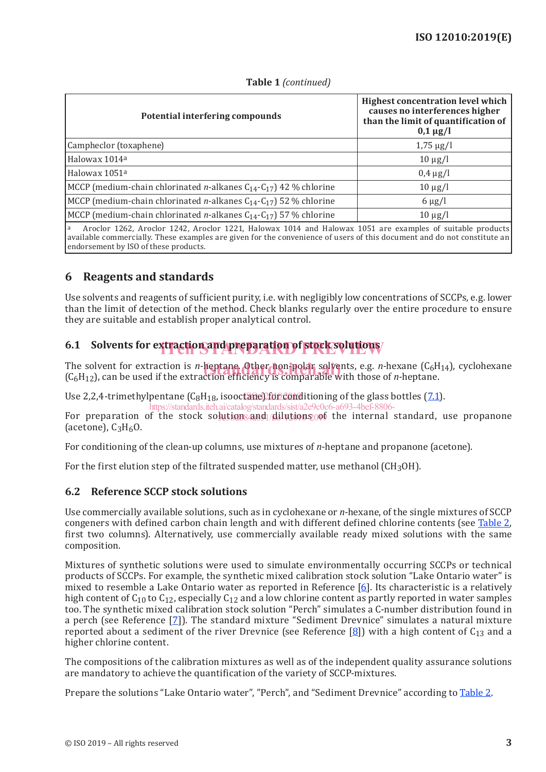| Potential interfering compounds                                                      | <b>Highest concentration level which</b><br>causes no interferences higher<br>than the limit of quantification of<br>$0,1 \,\mu g/l$ |
|--------------------------------------------------------------------------------------|--------------------------------------------------------------------------------------------------------------------------------------|
| Campheclor (toxaphene)                                                               | $1,75 \,\mu g/l$                                                                                                                     |
| Halowax 1014a                                                                        | $10 \mu g/l$                                                                                                                         |
| Halowax 1051 <sup>a</sup>                                                            | $0.4 \mu$ g/l                                                                                                                        |
| MCCP (medium-chain chlorinated <i>n</i> -alkanes $C_{14}$ - $C_{17}$ ) 42 % chlorine | $10 \mu g/l$                                                                                                                         |
| MCCP (medium-chain chlorinated <i>n</i> -alkanes $C_{14}$ - $C_{17}$ ) 52 % chlorine | $6 \mu g/l$                                                                                                                          |
| MCCP (medium-chain chlorinated <i>n</i> -alkanes $C_{14}$ - $C_{17}$ ) 57 % chlorine | $10 \mu g/l$                                                                                                                         |
|                                                                                      |                                                                                                                                      |

a Aroclor 1262, Aroclor 1242, Aroclor 1221, Halowax 1014 and Halowax 1051 are examples of suitable products available commercially. These examples are given for the convenience of users of this document and do not constitute an endorsement by ISO of these products.

# **6 Reagents and standards**

Use solvents and reagents of sufficient purity, i.e. with negligibly low concentrations of SCCPs, e.g. lower than the limit of detection of the method. Check blanks regularly over the entire procedure to ensure they are suitable and establish proper analytical control.

# **6.1 Solvents for extraction and preparation of stock solutions**

The solvent for extraction is *n*-heptane. Other non-polar solvents, e.g. *n*-hexane (C<sub>6</sub>H<sub>14</sub>), cyclohexane<br>(C<sub>6</sub>H<sub>12</sub>), can be used if the extraction efficiency is comparable with those of *n*-heptane. (C6H12), can be used if the extraction efficiency is comparable with those of *n-*heptane.

Use 2,2,4-trimethylpentane  $(C_8H_{18}$ , isooctane) for conditioning of the glass bottles (7.1).

https://standards.iteh.ai/catalog/standards/sist/a2e9c0c6-a693-4bef-8806-

For preparation of the stock solutions and dilutions of the internal standard, use propanone  $(acetone)$ ,  $C_3H_6O$ .

For conditioning of the clean-up columns, use mixtures of *n*-heptane and propanone (acetone).

For the first elution step of the filtrated suspended matter, use methanol (CH<sub>3</sub>OH).

## **6.2 Reference SCCP stock solutions**

Use commercially available solutions, such as in cyclohexane or *n-*hexane, of the single mixtures of SCCP congeners with defined carbon chain length and with different defined chlorine contents (see Table 2, first two columns). Alternatively, use commercially available ready mixed solutions with the same composition.

Mixtures of synthetic solutions were used to simulate environmentally occurring SCCPs or technical products of SCCPs. For example, the synthetic mixed calibration stock solution "Lake Ontario water" is mixed to resemble a Lake Ontario water as reported in Reference  $[6]$ . Its characteristic is a relatively high content of  $C_{10}$  to  $C_{12}$ , especially  $C_{12}$  and a low chlorine content as partly reported in water samples too. The synthetic mixed calibration stock solution "Perch" simulates a C-number distribution found in a perch (see Reference [7]). The standard mixture "Sediment Drevnice" simulates a natural mixture reported about a sediment of the river Drevnice (see Reference  $[8]$ ) with a high content of  $C_{13}$  and a higher chlorine content.

The compositions of the calibration mixtures as well as of the independent quality assurance solutions are mandatory to achieve the quantification of the variety of SCCP-mixtures.

Prepare the solutions "Lake Ontario water", "Perch", and "Sediment Drevnice" according to Table 2.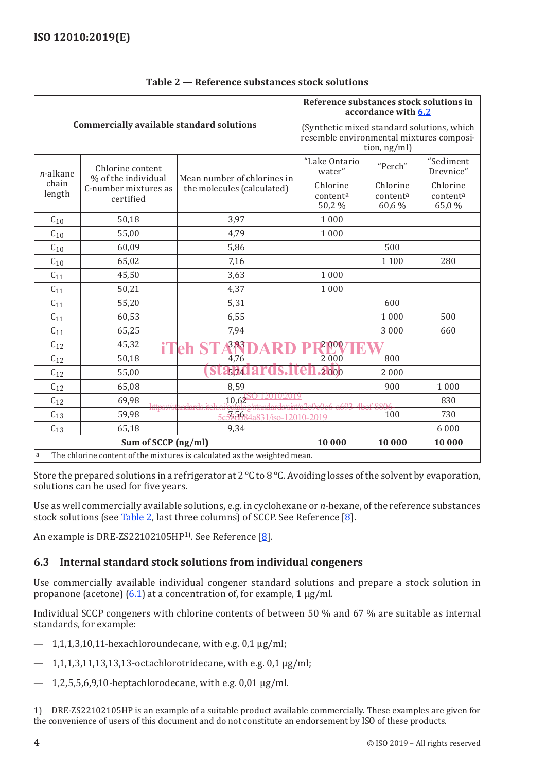|                                                                               |                                         | Reference substances stock solutions in<br>accordance with 6.2 |                                                                                                        |                               |                                |
|-------------------------------------------------------------------------------|-----------------------------------------|----------------------------------------------------------------|--------------------------------------------------------------------------------------------------------|-------------------------------|--------------------------------|
| <b>Commercially available standard solutions</b>                              |                                         |                                                                | (Synthetic mixed standard solutions, which<br>resemble environmental mixtures composi-<br>tion, ng/ml) |                               |                                |
| $n$ -alkane                                                                   | Chlorine content<br>% of the individual | Mean number of chlorines in                                    | "Lake Ontario<br>water"                                                                                | "Perch"                       | "Sediment<br>Drevnice"         |
| chain<br>length                                                               | C-number mixtures as<br>certified       | the molecules (calculated)                                     | Chlorine<br>contenta<br>50,2%                                                                          | Chlorine<br>contenta<br>60,6% | Chlorine<br>contenta<br>65,0 % |
| $C_{10}$                                                                      | 50,18                                   | 3,97                                                           | 1000                                                                                                   |                               |                                |
| $C_{10}$                                                                      | 55,00                                   | 4,79                                                           | 1000                                                                                                   |                               |                                |
| $C_{10}$                                                                      | 60,09                                   | 5,86                                                           |                                                                                                        | 500                           |                                |
| $C_{10}$                                                                      | 65,02                                   | 7,16                                                           |                                                                                                        | 1 100                         | 280                            |
| $C_{11}$                                                                      | 45,50                                   | 3,63                                                           | 1000                                                                                                   |                               |                                |
| $C_{11}$                                                                      | 50,21                                   | 4,37                                                           | 1000                                                                                                   |                               |                                |
| $C_{11}$                                                                      | 55,20                                   | 5,31                                                           |                                                                                                        | 600                           |                                |
| $C_{11}$                                                                      | 60,53                                   | 6,55                                                           |                                                                                                        | 1 0 0 0                       | 500                            |
| $C_{11}$                                                                      | 65,25                                   | 7,94                                                           |                                                                                                        | 3 0 0 0                       | 660                            |
| $\rm{C}_{12}$                                                                 | 45,32                                   | 3,93                                                           | 2000                                                                                                   |                               |                                |
| $C_{12}$                                                                      | 50,18                                   | 4,76                                                           | 2000                                                                                                   | 800                           |                                |
| $C_{12}$                                                                      | 55,00                                   | 25,74                                                          | $-2000$                                                                                                | 2000                          |                                |
| $C_{12}$                                                                      | 65,08                                   | 8,59                                                           |                                                                                                        | 900                           | 1 0 0 0                        |
| $C_{12}$                                                                      | 69,98                                   | 10,62                                                          | 2.0.0                                                                                                  | <b>POONE</b>                  | 830                            |
| $C_{13}$                                                                      | 59,98                                   | 5c588884a831/jso-12010-2019                                    |                                                                                                        | 100                           | 730                            |
| $C_{13}$                                                                      | 65,18                                   | 9,34                                                           |                                                                                                        |                               | 6 0 0 0                        |
| Sum of SCCP (ng/ml)<br>10 000<br>10 000<br>10 000                             |                                         |                                                                |                                                                                                        |                               |                                |
| a<br>The chlorine content of the mixtures is calculated as the weighted mean. |                                         |                                                                |                                                                                                        |                               |                                |

## **Table 2 — Reference substances stock solutions**

Store the prepared solutions in a refrigerator at 2 °C to 8 °C. Avoiding losses of the solvent by evaporation, solutions can be used for five years.

Use as well commercially available solutions, e.g. in cyclohexane or *n*-hexane, of the reference substances stock solutions (see Table 2, last three columns) of SCCP. See Reference [8].

An example is DRE-ZS22102105HP<sup>1)</sup>. See Reference [8].

## **6.3 Internal standard stock solutions from individual congeners**

Use commercially available individual congener standard solutions and prepare a stock solution in propanone (acetone)  $(6.1)$  at a concentration of, for example, 1  $\mu$ g/ml.

Individual SCCP congeners with chlorine contents of between 50 % and 67 % are suitable as internal standards, for example:

- $1,1,1,3,10,11$ -hexachloroundecane, with e.g. 0,1  $\mu$ g/ml;
- 1,1,1,3,11,13,13,13-octachlorotridecane, with e.g. 0,1 µg/ml;
- 1,2,5,5,6,9,10-heptachlorodecane, with e.g.  $0.01 \mu$ g/ml.

<sup>1)</sup> DRE-ZS22102105HP is an example of a suitable product available commercially. These examples are given for the convenience of users of this document and do not constitute an endorsement by ISO of these products.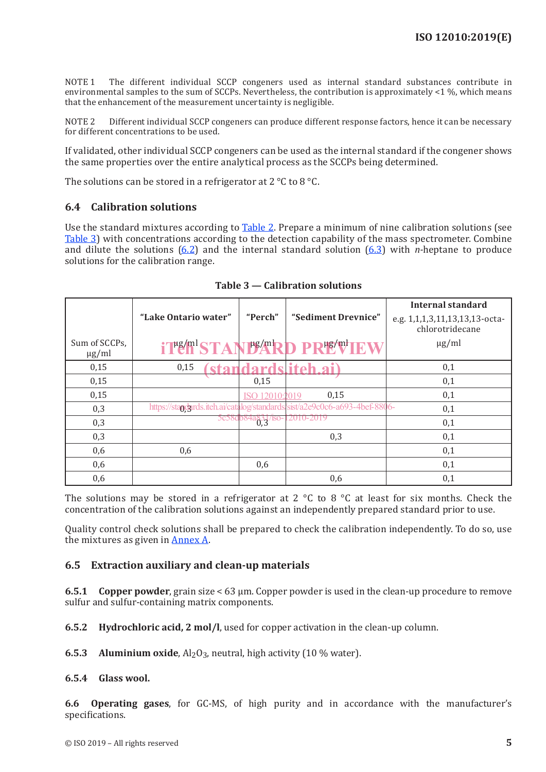NOTE 1 The different individual SCCP congeners used as internal standard substances contribute in environmental samples to the sum of SCCPs. Nevertheless, the contribution is approximately <1 %, which means that the enhancement of the measurement uncertainty is negligible.

NOTE 2 Different individual SCCP congeners can produce different response factors, hence it can be necessary for different concentrations to be used.

If validated, other individual SCCP congeners can be used as the internal standard if the congener shows the same properties over the entire analytical process as the SCCPs being determined.

The solutions can be stored in a refrigerator at 2 °C to 8 °C.

#### **6.4 Calibration solutions**

Use the standard mixtures according to Table 2. Prepare a minimum of nine calibration solutions (see Table 3) with concentrations according to the detection capability of the mass spectrometer. Combine and dilute the solutions (6.2) and the internal standard solution (6.3) with *n-*heptane to produce solutions for the calibration range.

|                             | "Lake Ontario water" | "Perch"                        | "Sediment Drevnice"                                                       | <b>Internal standard</b><br>e.g. 1,1,1,3,11,13,13,13-octa-<br>chlorotridecane |
|-----------------------------|----------------------|--------------------------------|---------------------------------------------------------------------------|-------------------------------------------------------------------------------|
| Sum of SCCPs,<br>$\mu$ g/ml |                      |                                | <b>iT<sup>ug/ml</sup>STANI<sup>Fg/ml</sup>RD PR<sup>Fg/ml</sup>IEW</b>    | $\mu$ g/ml                                                                    |
| 0,15                        | 0,15                 |                                | standardsliteh.ai                                                         | 0,1                                                                           |
| 0,15                        |                      | 0,15                           |                                                                           | 0,1                                                                           |
| 0,15                        |                      | ISO 12010:2019                 | 0,15                                                                      | 0,1                                                                           |
| 0,3                         |                      |                                | https://standgrds.iteh.ai/catalog/standards/sist/a2e9c0c6-a693-4bef-8806- | 0,1                                                                           |
| 0,3                         |                      | $5c58d_{0}84a_{0,3}^{3}/180-1$ | 2010-2019                                                                 | 0,1                                                                           |
| 0,3                         |                      |                                | 0,3                                                                       | 0,1                                                                           |
| 0,6                         | 0,6                  |                                |                                                                           | 0,1                                                                           |
| 0,6                         |                      | 0,6                            |                                                                           | 0,1                                                                           |
| 0,6                         |                      |                                | 0,6                                                                       | 0,1                                                                           |

#### **Table 3 — Calibration solutions**

The solutions may be stored in a refrigerator at 2 °C to 8 °C at least for six months. Check the concentration of the calibration solutions against an independently prepared standard prior to use.

Quality control check solutions shall be prepared to check the calibration independently. To do so, use the mixtures as given in Annex A.

#### **6.5 Extraction auxiliary and clean-up materials**

**6.5.1 Copper powder**, grain size < 63 µm. Copper powder is used in the clean-up procedure to remove sulfur and sulfur-containing matrix components.

**6.5.2 Hydrochloric acid, 2 mol/l**, used for copper activation in the clean-up column.

**6.5.3 Aluminium oxide**, Al<sub>2</sub>O<sub>3</sub>, neutral, high activity (10 % water).

**6.5.4 Glass wool.**

**6.6 Operating gases**, for GC-MS, of high purity and in accordance with the manufacturer's specifications.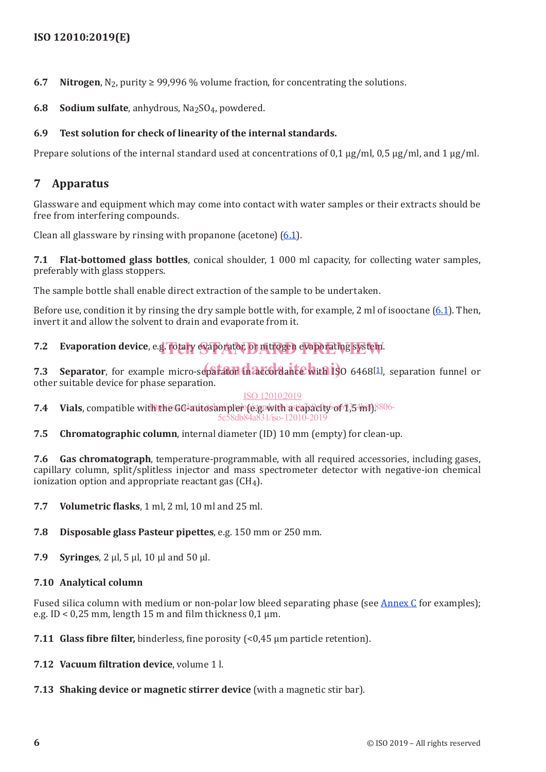**6.7 Nitrogen**, N<sub>2</sub>, purity ≥ 99,996 % volume fraction, for concentrating the solutions.

**6.8 Sodium sulfate**, anhydrous, Na<sub>2</sub>SO<sub>4</sub>, powdered.

#### **6.9 Test solution for check of linearity of the internal standards.**

Prepare solutions of the internal standard used at concentrations of 0,1  $\mu$ g/ml, 0,5  $\mu$ g/ml, and 1  $\mu$ g/ml.

## **7 Apparatus**

Glassware and equipment which may come into contact with water samples or their extracts should be free from interfering compounds.

Clean all glassware by rinsing with propanone (acetone)  $(6.1)$ .

**7.1 Flat-bottomed glass bottles**, conical shoulder, 1 000 ml capacity, for collecting water samples, preferably with glass stoppers.

The sample bottle shall enable direct extraction of the sample to be undertaken.

Before use, condition it by rinsing the dry sample bottle with, for example, 2 ml of isooctane (6.1). Then, invert it and allow the solvent to drain and evaporate from it.

# **7.2 Evaporation device, e.g. rotary evaporator, or nitrogen evaporating system.**

**7.3 Separator**, for example micro-separator **in accordance with IS**O 6468<sup>[1]</sup>, separation funnel or other suitable device for phase separation.

#### ISO 12010:2019

- 7.4 Vials, compatible with the GC-autosampler (e.gr with a capacity of 135 ml)<sup>8806-</sup> 5c58db84a831/iso-12010-2019
- **7.5 Chromatographic column**, internal diameter (ID) 10 mm (empty) for clean-up.

**7.6 Gas chromatograph**, temperature-programmable, with all required accessories, including gases, capillary column, split/splitless injector and mass spectrometer detector with negative-ion chemical ionization option and appropriate reactant gas (CH<sub>4</sub>).

**7.7 Volumetric flasks**, 1 ml, 2 ml, 10 ml and 25 ml.

**7.8 Disposable glass Pasteur pipettes**, e.g. 150 mm or 250 mm.

**7.9 Syringes**, 2 µl, 5 µl, 10 µl and 50 µl.

#### **7.10 Analytical column**

Fused silica column with medium or non-polar low bleed separating phase (see Annex C for examples); e.g. ID < 0,25 mm, length 15 m and film thickness 0,1  $\mu$ m.

**7.11 Glass fibre filter,** binderless, fine porosity (<0,45 µm particle retention).

#### **7.12 Vacuum filtration device**, volume 1 l.

#### **7.13 Shaking device or magnetic stirrer device** (with a magnetic stir bar).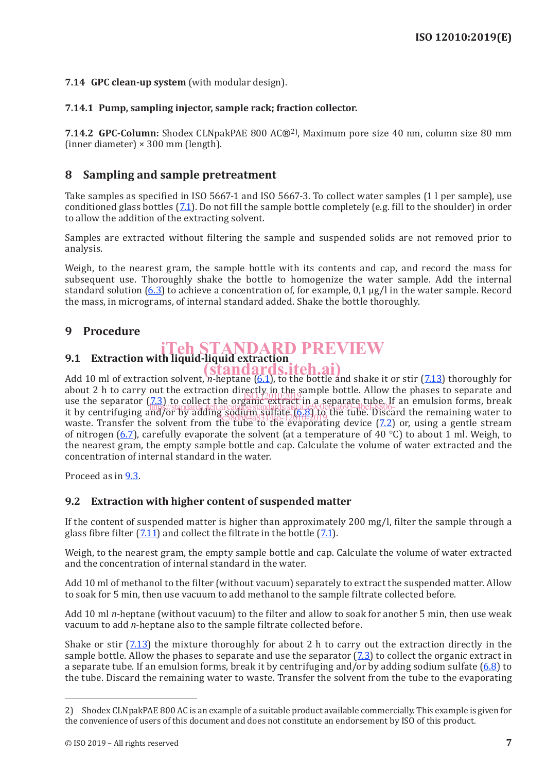**7.14 GPC clean-up system** (with modular design).

### **7.14.1 Pump, sampling injector, sample rack; fraction collector.**

**7.14.2 GPC-Column:** Shodex CLNpakPAE 800 AC®2), Maximum pore size 40 nm, column size 80 mm (inner diameter)  $\times$  300 mm (length).

# **8 Sampling and sample pretreatment**

Take samples as specified in ISO 5667-1 and ISO 5667-3. To collect water samples (1 l per sample), use conditioned glass bottles (7.1). Do not fill the sample bottle completely (e.g. fill to the shoulder) in order to allow the addition of the extracting solvent.

Samples are extracted without filtering the sample and suspended solids are not removed prior to analysis.

Weigh, to the nearest gram, the sample bottle with its contents and cap, and record the mass for subsequent use. Thoroughly shake the bottle to homogenize the water sample. Add the internal standard solution (6.3) to achieve a concentration of, for example, 0,1 µg/l in the water sample. Record the mass, in micrograms, of internal standard added. Shake the bottle thoroughly.

# **9 Procedure**

# **9.1 Extraction with liquid-liquid extraction** iTeh STANDARD PREVIEW

Add 10 ml of extraction solvent, *n*-heptane (6.1), to the bottle and shake it or stir (7.13) thoroughly for about 2 h to carry out the extraction directly in the sample bottle. Allow the phases to separate and use the separator (7.3) to collect the organic extract in a separate tube. If an emulsion forms, break it by centrifuging and/or by adding sodium sulfate (6.8) to the tube. Discard the remaining water to waste. Transfer the solvent from the tube to the evaporating device  $(7.2)$  or, using a gentle stream of nitrogen (6.7), carefully evaporate the solvent (at a temperature of 40  $\degree$ C) to about 1 ml. Weigh, to the nearest gram, the empty sample bottle and cap. Calculate the volume of water extracted and the concentration of internal standard in the water. ISO 12010:2019 https://standards.iteh.ai/catalog/standards/sist/a2e9c0c6-a693-4bef-8806-  $\frac{2}{3}$ c $\frac{3}{4}$ db84a831/iso-12010-2019

Proceed as in 9.3.

## **9.2 Extraction with higher content of suspended matter**

If the content of suspended matter is higher than approximately 200 mg/l, filter the sample through a glass fibre filter  $(7.11)$  and collect the filtrate in the bottle  $(7.1)$ .

Weigh, to the nearest gram, the empty sample bottle and cap. Calculate the volume of water extracted and the concentration of internal standard in the water.

Add 10 ml of methanol to the filter (without vacuum) separately to extract the suspended matter. Allow to soak for 5 min, then use vacuum to add methanol to the sample filtrate collected before.

Add 10 ml *n*-heptane (without vacuum) to the filter and allow to soak for another 5 min, then use weak vacuum to add *n*-heptane also to the sample filtrate collected before.

Shake or stir  $(7.13)$  the mixture thoroughly for about 2 h to carry out the extraction directly in the sample bottle. Allow the phases to separate and use the separator (7.3) to collect the organic extract in a separate tube. If an emulsion forms, break it by centrifuging and/or by adding sodium sulfate (6.8) to the tube. Discard the remaining water to waste. Transfer the solvent from the tube to the evaporating

<sup>2)</sup> Shodex CLNpakPAE 800 AC is an example of a suitable product available commercially. This example is given for the convenience of users of this document and does not constitute an endorsement by ISO of this product.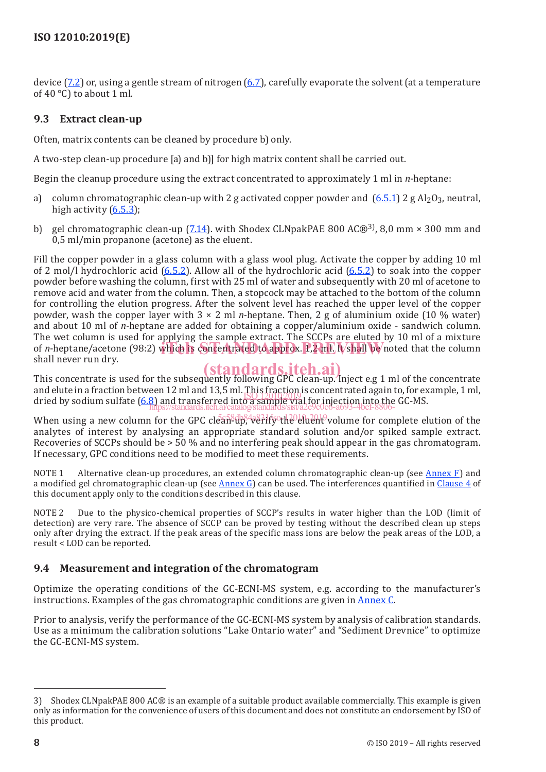device  $(7.2)$  or, using a gentle stream of nitrogen  $(6.7)$ , carefully evaporate the solvent (at a temperature of 40 $\degree$ C) to about 1 ml.

# **9.3 Extract clean-up**

Often, matrix contents can be cleaned by procedure b) only.

A two-step clean-up procedure [a) and b)] for high matrix content shall be carried out.

Begin the cleanup procedure using the extract concentrated to approximately 1 ml in *n-*heptane:

- a) column chromatographic clean-up with 2 g activated copper powder and  $(6.5.1)$  2 g Al<sub>2</sub>O<sub>3</sub>, neutral, high activity  $(6.5.3)$ ;
- b) gel chromatographic clean-up (7.14). with Shodex CLNpakPAE 800 AC $\odot$ 3), 8,0 mm  $\times$  300 mm and 0,5 ml/min propanone (acetone) as the eluent.

Fill the copper powder in a glass column with a glass wool plug. Activate the copper by adding 10 ml of 2 mol/l hydrochloric acid (6.5.2). Allow all of the hydrochloric acid (6.5.2) to soak into the copper powder before washing the column, first with 25 ml of water and subsequently with 20 ml of acetone to remove acid and water from the column. Then, a stopcock may be attached to the bottom of the column for controlling the elution progress. After the solvent level has reached the upper level of the copper powder, wash the copper layer with 3 × 2 ml *n-*heptane. Then, 2 g of aluminium oxide (10 % water) and about 10 ml of *n-*heptane are added for obtaining a copper/aluminium oxide - sandwich column. The wet column is used for applying the sample extract. The SCCPs are eluted by 10 ml of a mixture of *n*-heptane/acetone (98:2) which is concentrated to approx. 1,2 ml. It shall be noted that the column shall payor we dw shall never run dry.

shan never run ury.<br>This concentrate is used for the subsequently following GPC clean-up. Inject e.g 1 ml of the concentrate and elute in a fraction between 12 ml and 13,5 ml. This fraction is concentrated again to, for example, 1 ml, dried by sodium sulfate (6.8) and transferred into a sample vial for injection into the GC-MS.<br>Management and all all the different into the distribution of the distribution of the SSD6-ISO 12010:2019 https://standards.iteh.ai/catalog/standards/sist/a2e9c0c6-a693-4bef-8806-

When using a new column for the GPC clean<sup>8</sup>dp, verify the eluent volume for complete elution of the analytes of interest by analysing an appropriate standard solution and/or spiked sample extract. Recoveries of SCCPs should be > 50 % and no interfering peak should appear in the gas chromatogram. If necessary, GPC conditions need to be modified to meet these requirements.

NOTE 1 Alternative clean-up procedures, an extended column chromatographic clean-up (see Annex F) and a modified gel chromatographic clean-up (see Annex G) can be used. The interferences quantified in Clause 4 of this document apply only to the conditions described in this clause.

NOTE 2 Due to the physico-chemical properties of SCCP's results in water higher than the LOD (limit of detection) are very rare. The absence of SCCP can be proved by testing without the described clean up steps only after drying the extract. If the peak areas of the specific mass ions are below the peak areas of the LOD, a result < LOD can be reported.

## **9.4 Measurement and integration of the chromatogram**

Optimize the operating conditions of the GC-ECNI-MS system, e.g. according to the manufacturer's instructions. Examples of the gas chromatographic conditions are given in Annex C.

Prior to analysis, verify the performance of the GC-ECNI-MS system by analysis of calibration standards. Use as a minimum the calibration solutions "Lake Ontario water" and "Sediment Drevnice" to optimize the GC-ECNI-MS system.

<sup>3)</sup> Shodex CLNpakPAE 800 AC® is an example of a suitable product available commercially. This example is given only as information for the convenience of users of this document and does not constitute an endorsement by ISO of this product.